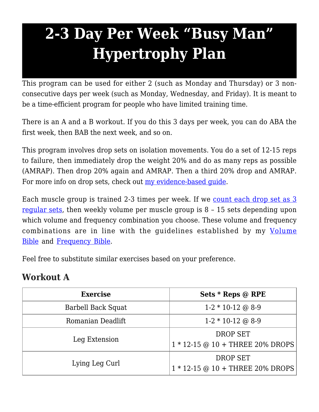## **2-3 Day Per Week "Busy Man" Hypertrophy Plan**

This program can be used for either 2 (such as Monday and Thursday) or 3 nonconsecutive days per week (such as Monday, Wednesday, and Friday). It is meant to be a time-efficient program for people who have limited training time.

There is an A and a B workout. If you do this 3 days per week, you can do ABA the first week, then BAB the next week, and so on.

This program involves drop sets on isolation movements. You do a set of 12-15 reps to failure, then immediately drop the weight 20% and do as many reps as possible (AMRAP). Then drop 20% again and AMRAP. Then a third 20% drop and AMRAP. For more info on drop sets, check out my evidence-based quide.

Each muscle group is trained 2-3 times per week. If we [count each drop set as 3](https://weightology.net/the-members-area/evidence-based-guides/intensity-techniques-for-hypertrophy-drop-sets-your-evidence-based-guide/) [regular sets,](https://weightology.net/the-members-area/evidence-based-guides/intensity-techniques-for-hypertrophy-drop-sets-your-evidence-based-guide/) then weekly volume per muscle group is 8 – 15 sets depending upon which volume and frequency combination you choose. These volume and frequency combinations are in line with the guidelines established by my [Volume](https://weightology.net/the-members-area/evidence-based-guides/set-volume-for-muscle-size-the-ultimate-evidence-based-bible/) [Bible](https://weightology.net/the-members-area/evidence-based-guides/set-volume-for-muscle-size-the-ultimate-evidence-based-bible/) and [Frequency Bible.](https://weightology.net/the-members-area/evidence-based-guides/training-frequency-for-hypertrophy-the-evidence-based-bible/)

Feel free to substitute similar exercises based on your preference.

## **Workout A**

| <b>Exercise</b>    | Sets * Reps @ RPE                                                            |
|--------------------|------------------------------------------------------------------------------|
| Barbell Back Squat | $1-2*10-12$ @ 8-9                                                            |
| Romanian Deadlift  | $1-2*10-12$ @ 8-9                                                            |
| Leg Extension      | <b>DROP SET</b><br>$1 * 12 - 15 \odot 10 + \text{THREE } 20\% \text{ DROPS}$ |
| Lying Leg Curl     | DROP SET<br>$1 * 12 - 15 \odot 10 + \text{THREE } 20\% \text{ DROPS}$        |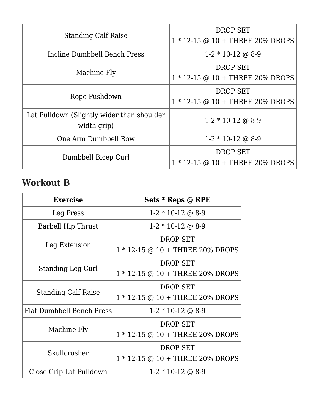| <b>Standing Calf Raise</b>                                | <b>DROP SET</b><br>$1 * 12 - 15 \odot 10 + \text{THREE } 20\% \text{ DROPS}$ |
|-----------------------------------------------------------|------------------------------------------------------------------------------|
| Incline Dumbbell Bench Press                              | $1-2 * 10-12 \odot 8-9$                                                      |
| Machine Fly                                               | <b>DROP SET</b><br>$1 * 12 - 15 \odot 10 + \text{THREE } 20\% \text{ DROPS}$ |
| Rope Pushdown                                             | <b>DROP SET</b><br>$1 * 12 - 15 \odot 10 + \text{THREE } 20\% \text{ DROPS}$ |
| Lat Pulldown (Slightly wider than shoulder<br>width grip) | $1-2 * 10-12 \omega 8-9$                                                     |
| One Arm Dumbbell Row                                      | $1-2 * 10-12 \omega 8-9$                                                     |
| Dumbbell Bicep Curl                                       | <b>DROP SET</b><br>$1 * 12 - 15 \odot 10 + \text{THREE } 20\% \text{ DROPS}$ |

## **Workout B**

| <b>Exercise</b>            | Sets * Reps @ RPE                                         |
|----------------------------|-----------------------------------------------------------|
| Leg Press                  | $1-2 * 10-12 \text{ } \textcircled{a} 8-9$                |
| Barbell Hip Thrust         | $1-2 * 10-12 \odot 8-9$                                   |
| Leg Extension              | <b>DROP SET</b>                                           |
|                            | $1 * 12 - 15 \odot 10 + \text{THREE } 20\% \text{ DROPS}$ |
| <b>Standing Leg Curl</b>   | <b>DROP SET</b>                                           |
|                            | 1 * 12-15 @ 10 + THREE 20% DROPS                          |
| <b>Standing Calf Raise</b> | <b>DROP SET</b>                                           |
|                            | $1 * 12 - 15 \odot 10 + \text{THREE } 20\% \text{ DROPS}$ |
| Flat Dumbbell Bench Press  | $1-2 * 10-12 \text{ } \textcircled{a} 8-9$                |
| Machine Fly                | <b>DROP SET</b>                                           |
|                            | $1 * 12 - 15 \odot 10 + \text{THREE } 20\% \text{ DROPS}$ |
| Skullcrusher               | <b>DROP SET</b>                                           |
|                            | $1 * 12 - 15 \odot 10 + \text{THREE } 20\% \text{ DROPS}$ |
| Close Grip Lat Pulldown    | $1-2 * 10-12 \text{ } \textcircled{a} 8-9$                |